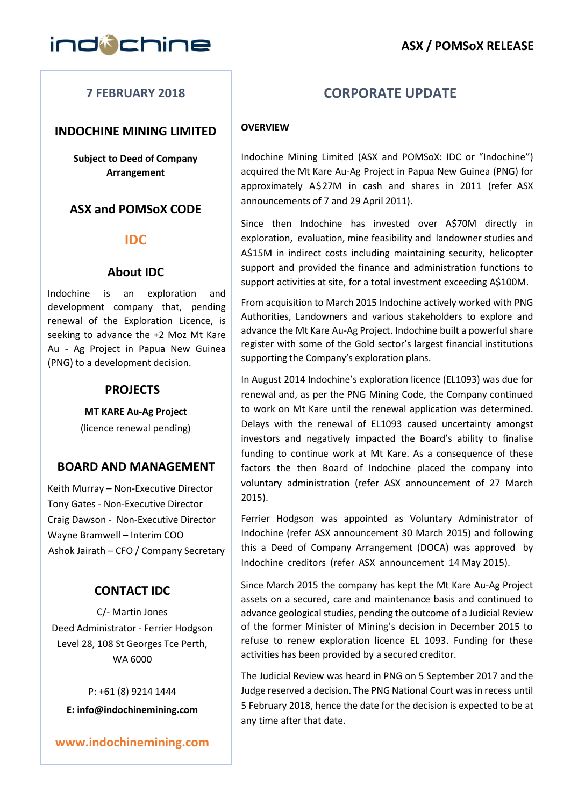# **7 FEBRUARY 2018**

## **INDOCHINE MINING LIMITED**

**Subject to Deed of Company Arrangement**

# **ASX and POMSoX CODE**

## **IDC**

## **About IDC**

Indochine is an exploration and development company that, pending renewal of the Exploration Licence, is seeking to advance the +2 Moz Mt Kare Au - Ag Project in Papua New Guinea (PNG) to a development decision.

## **PROJECTS**

**MT KARE Au-Ag Project** (licence renewal pending)

## **BOARD AND MANAGEMENT**

Keith Murray – Non-Executive Director Tony Gates - Non-Executive Director Craig Dawson - Non-Executive Director Wayne Bramwell – Interim COO Ashok Jairath – CFO / Company Secretary

## **CONTACT IDC**

C/- Martin Jones Deed Administrator - Ferrier Hodgson Level 28, 108 St Georges Tce Perth, WA 6000

P: +61 (8) 9214 1444 **[E: info@indochinemining.com](mailto:info@indochinemining.com)**

**[www.indochinemining.com](http://www.indochinemining.com/)**

# **CORPORATE UPDATE**

#### **OVERVIEW**

Indochine Mining Limited (ASX and POMSoX: IDC or "Indochine") acquired the Mt Kare Au-Ag Project in Papua New Guinea (PNG) for approximately A\$27M in cash and shares in 2011 (refer ASX announcements of 7 and 29 April 2011).

Since then Indochine has invested over A\$70M directly in exploration, evaluation, mine feasibility and landowner studies and A\$15M in indirect costs including maintaining security, helicopter support and provided the finance and administration functions to support activities at site, for a total investment exceeding A\$100M.

From acquisition to March 2015 Indochine actively worked with PNG Authorities, Landowners and various stakeholders to explore and advance the Mt Kare Au-Ag Project. Indochine built a powerful share register with some of the Gold sector's largest financial institutions supporting the Company's exploration plans.

In August 2014 Indochine's exploration licence (EL1093) was due for renewal and, as per the PNG Mining Code, the Company continued to work on Mt Kare until the renewal application was determined. Delays with the renewal of EL1093 caused uncertainty amongst investors and negatively impacted the Board's ability to finalise funding to continue work at Mt Kare. As a consequence of these factors the then Board of Indochine placed the company into voluntary administration (refer ASX announcement of 27 March 2015).

Ferrier Hodgson was appointed as Voluntary Administrator of Indochine (refer ASX announcement 30 March 2015) and following this a Deed of Company Arrangement (DOCA) was approved by Indochine creditors (refer ASX announcement 14 May 2015).

Since March 2015 the company has kept the Mt Kare Au-Ag Project assets on a secured, care and maintenance basis and continued to advance geological studies, pending the outcome of a Judicial Review of the former Minister of Mining's decision in December 2015 to refuse to renew exploration licence EL 1093. Funding for these activities has been provided by a secured creditor.

The Judicial Review was heard in PNG on 5 September 2017 and the Judge reserved a decision. The PNG National Court was in recess until 5 February 2018, hence the date for the decision is expected to be at any time after that date.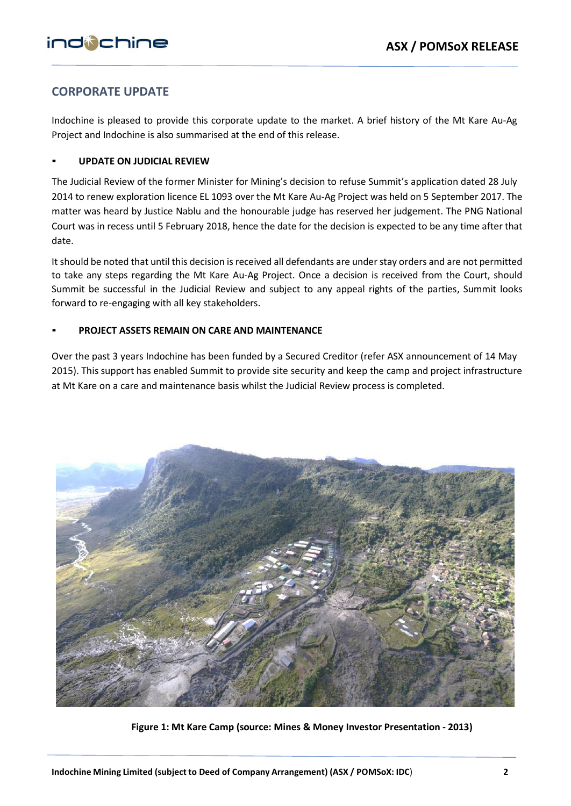# **CORPORATE UPDATE**

Indochine is pleased to provide this corporate update to the market. A brief history of the Mt Kare Au-Ag Project and Indochine is also summarised at the end of this release.

#### ▪ **UPDATE ON JUDICIAL REVIEW**

The Judicial Review of the former Minister for Mining's decision to refuse Summit's application dated 28 July 2014 to renew exploration licence EL 1093 over the Mt Kare Au-Ag Project was held on 5 September 2017. The matter was heard by Justice Nablu and the honourable judge has reserved her judgement. The PNG National Court was in recess until 5 February 2018, hence the date for the decision is expected to be any time after that date.

It should be noted that until this decision is received all defendants are under stay orders and are not permitted to take any steps regarding the Mt Kare Au-Ag Project. Once a decision is received from the Court, should Summit be successful in the Judicial Review and subject to any appeal rights of the parties, Summit looks forward to re-engaging with all key stakeholders.

### ▪ **PROJECT ASSETS REMAIN ON CARE AND MAINTENANCE**

Over the past 3 years Indochine has been funded by a Secured Creditor (refer ASX announcement of 14 May 2015). This support has enabled Summit to provide site security and keep the camp and project infrastructure at Mt Kare on a care and maintenance basis whilst the Judicial Review process is completed.



**Figure 1: Mt Kare Camp (source: Mines & Money Investor Presentation - 2013)**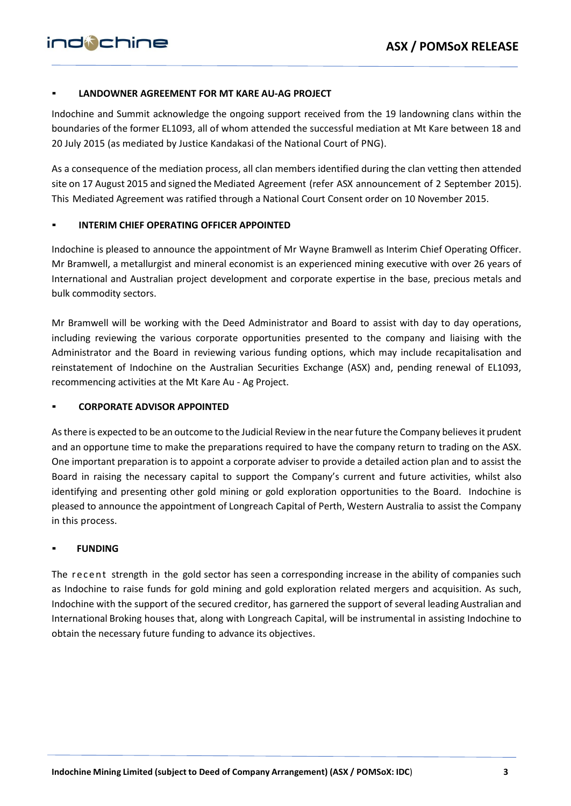#### ▪ **LANDOWNER AGREEMENT FOR MT KARE AU-AG PROJECT**

Indochine and Summit acknowledge the ongoing support received from the 19 landowning clans within the boundaries of the former EL1093, all of whom attended the successful mediation at Mt Kare between 18 and 20 July 2015 (as mediated by Justice Kandakasi of the National Court of PNG).

As a consequence of the mediation process, all clan members identified during the clan vetting then attended site on 17 August 2015 and signed the Mediated Agreement (refer ASX announcement of 2 September 2015). This Mediated Agreement was ratified through a National Court Consent order on 10 November 2015.

#### **INTERIM CHIEF OPERATING OFFICER APPOINTED**

Indochine is pleased to announce the appointment of Mr Wayne Bramwell as Interim Chief Operating Officer. Mr Bramwell, a metallurgist and mineral economist is an experienced mining executive with over 26 years of International and Australian project development and corporate expertise in the base, precious metals and bulk commodity sectors.

Mr Bramwell will be working with the Deed Administrator and Board to assist with day to day operations, including reviewing the various corporate opportunities presented to the company and liaising with the Administrator and the Board in reviewing various funding options, which may include recapitalisation and reinstatement of Indochine on the Australian Securities Exchange (ASX) and, pending renewal of EL1093, recommencing activities at the Mt Kare Au - Ag Project.

#### ▪ **CORPORATE ADVISOR APPOINTED**

As there is expected to be an outcome to the Judicial Review in the near future the Company believes it prudent and an opportune time to make the preparations required to have the company return to trading on the ASX. One important preparation is to appoint a corporate adviser to provide a detailed action plan and to assist the Board in raising the necessary capital to support the Company's current and future activities, whilst also identifying and presenting other gold mining or gold exploration opportunities to the Board. Indochine is pleased to announce the appointment of Longreach Capital of Perth, Western Australia to assist the Company in this process.

#### ▪ **FUNDING**

The recent strength in the gold sector has seen a corresponding increase in the ability of companies such as Indochine to raise funds for gold mining and gold exploration related mergers and acquisition. As such, Indochine with the support of the secured creditor, has garnered the support of several leading Australian and International Broking houses that, along with Longreach Capital, will be instrumental in assisting Indochine to obtain the necessary future funding to advance its objectives.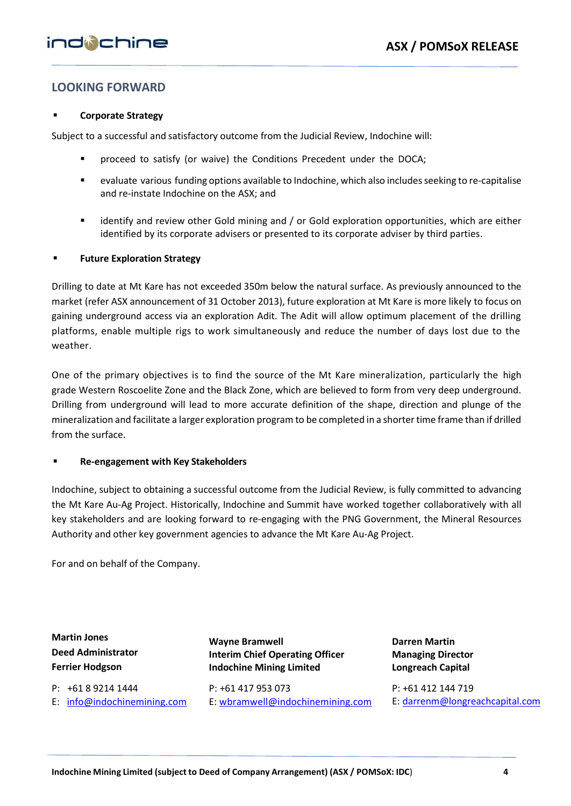# **LOOKING FORWARD**

#### **Corporate Strategy**

Subject to a successful and satisfactory outcome from the Judicial Review, Indochine will:

- proceed to satisfy (or waive) the Conditions Precedent under the DOCA;
- evaluate various funding options available to Indochine, which also includes seeking to re-capitalise and re-instate Indochine on the ASX; and
- identify and review other Gold mining and / or Gold exploration opportunities, which are either identified by its corporate advisers or presented to its corporate adviser by third parties.

#### **Future Exploration Strategy**

Drilling to date at Mt Kare has not exceeded 350m below the natural surface. As previously announced to the market (refer ASX announcement of 31 October 2013), future exploration at Mt Kare is more likely to focus on gaining underground access via an exploration Adit. The Adit will allow optimum placement of the drilling platforms, enable multiple rigs to work simultaneously and reduce the number of days lost due to the weather.

One of the primary objectives is to find the source of the Mt Kare mineralization, particularly the high grade Western Roscoelite Zone and the Black Zone, which are believed to form from very deep underground. Drilling from underground will lead to more accurate definition of the shape, direction and plunge of the mineralization and facilitate a larger exploration program to be completed in a shorter time frame than if drilled from the surface.

#### ▪ **Re-engagement with Key Stakeholders**

Indochine, subject to obtaining a successful outcome from the Judicial Review, is fully committed to advancing the Mt Kare Au-Ag Project. Historically, Indochine and Summit have worked together collaboratively with all key stakeholders and are looking forward to re-engaging with the PNG Government, the Mineral Resources Authority and other key government agencies to advance the Mt Kare Au-Ag Project.

For and on behalf of the Company.

**Martin Jones Deed Administrator Ferrier Hodgson**

P: +61 8 9214 1444 E: [info@indochinemining.com](mailto:info@indochinemining.com)  **Wayne Bramwell Interim Chief Operating Officer Indochine Mining Limited**

 P: +61 417 953 073 E: [wbramwell@indochinemining.com](mailto:wbramwell@indochinemining.com)

**Darren Martin Managing Director Longreach Capital**

P: +61 412 144 719 E: [darrenm@longreachcapital.com](mailto:darrenm@longreachcapital.com)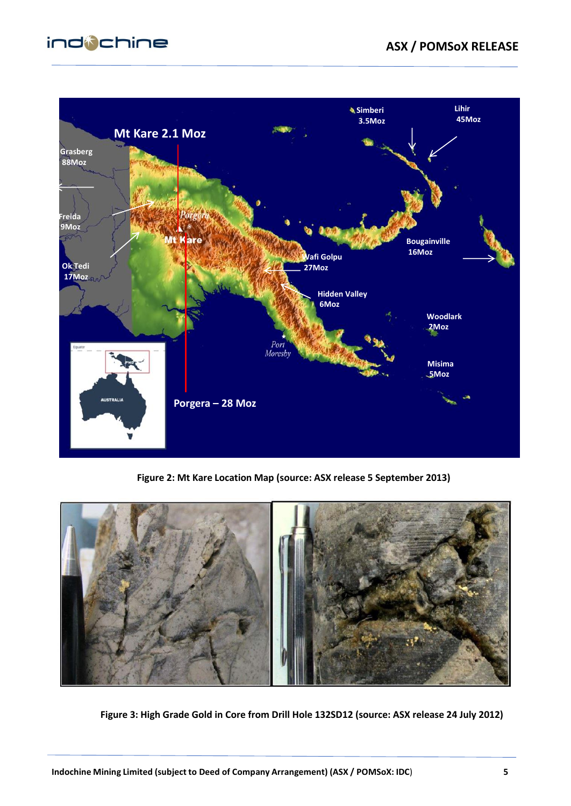# indichine



**Figure 2: Mt Kare Location Map (source: ASX release 5 September 2013)**



**Figure 3: High Grade Gold in Core from Drill Hole 132SD12 (source: ASX release 24 July 2012)**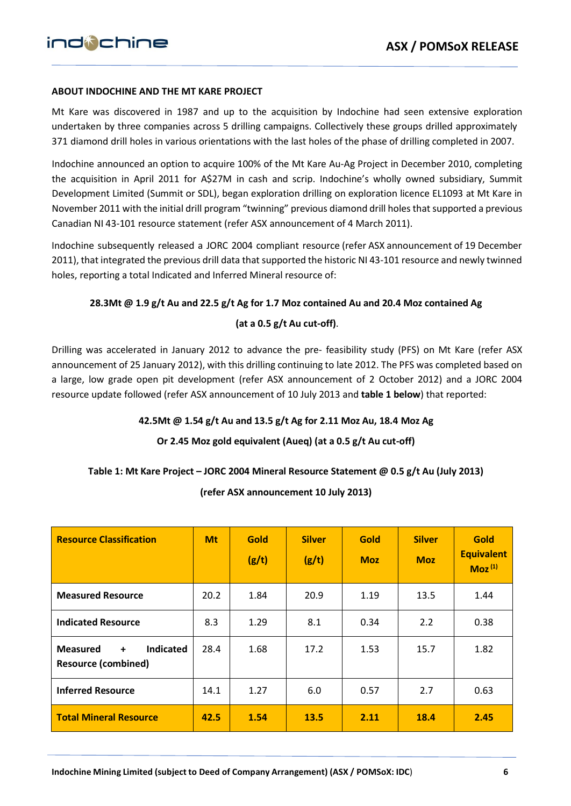#### **ABOUT INDOCHINE AND THE MT KARE PROJECT**

Mt Kare was discovered in 1987 and up to the acquisition by Indochine had seen extensive exploration undertaken by three companies across 5 drilling campaigns. Collectively these groups drilled approximately 371 diamond drill holes in various orientations with the last holes of the phase of drilling completed in 2007.

Indochine announced an option to acquire 100% of the Mt Kare Au-Ag Project in December 2010, completing the acquisition in April 2011 for A\$27M in cash and scrip. Indochine's wholly owned subsidiary, Summit Development Limited (Summit or SDL), began exploration drilling on exploration licence EL1093 at Mt Kare in November 2011 with the initial drill program "twinning" previous diamond drill holesthat supported a previous Canadian NI 43-101 resource statement (refer ASX announcement of 4 March 2011).

Indochine subsequently released a JORC 2004 compliant resource (refer ASX announcement of 19 December 2011), that integrated the previous drill data that supported the historic NI 43-101 resource and newly twinned holes, reporting a total Indicated and Inferred Mineral resource of:

#### **28.3Mt @ 1.9 g/t Au and 22.5 g/t Ag for 1.7 Moz contained Au and 20.4 Moz contained Ag**

#### **(at a 0.5 g/t Au cut-off)**.

Drilling was accelerated in January 2012 to advance the pre- feasibility study (PFS) on Mt Kare (refer ASX announcement of 25 January 2012), with this drilling continuing to late 2012. The PFS was completed based on a large, low grade open pit development (refer ASX announcement of 2 October 2012) and a JORC 2004 resource update followed (refer ASX announcement of 10 July 2013 and **table 1 below**) that reported:

#### **42.5Mt @ 1.54 g/t Au and 13.5 g/t Ag for 2.11 Moz Au, 18.4 Moz Ag**

#### **Or 2.45 Moz gold equivalent (Aueq) (at a 0.5 g/t Au cut-off)**

#### **Table 1: Mt Kare Project – JORC 2004 Mineral Resource Statement @ 0.5 g/t Au (July 2013)**

**(refer ASX announcement 10 July 2013)**

| <b>Resource Classification</b>                                                            | <b>Mt</b> | <b>Gold</b><br>(g/t) | <b>Silver</b><br>(g/t) | <b>Gold</b><br><b>Moz</b> | <b>Silver</b><br><b>Moz</b> | <b>Gold</b><br><b>Equivalent</b><br>$Moz^{(1)}$ |
|-------------------------------------------------------------------------------------------|-----------|----------------------|------------------------|---------------------------|-----------------------------|-------------------------------------------------|
| <b>Measured Resource</b>                                                                  | 20.2      | 1.84                 | 20.9                   | 1.19                      | 13.5                        | 1.44                                            |
| <b>Indicated Resource</b>                                                                 | 8.3       | 1.29                 | 8.1                    | 0.34                      | 2.2                         | 0.38                                            |
| <b>Indicated</b><br><b>Measured</b><br>$\ddot{\phantom{1}}$<br><b>Resource (combined)</b> | 28.4      | 1.68                 | 17.2                   | 1.53                      | 15.7                        | 1.82                                            |
| <b>Inferred Resource</b>                                                                  | 14.1      | 1.27                 | 6.0                    | 0.57                      | 2.7                         | 0.63                                            |
| <b>Total Mineral Resource</b>                                                             | 42.5      | 1.54                 | <b>13.5</b>            | 2.11                      | 18.4                        | 2.45                                            |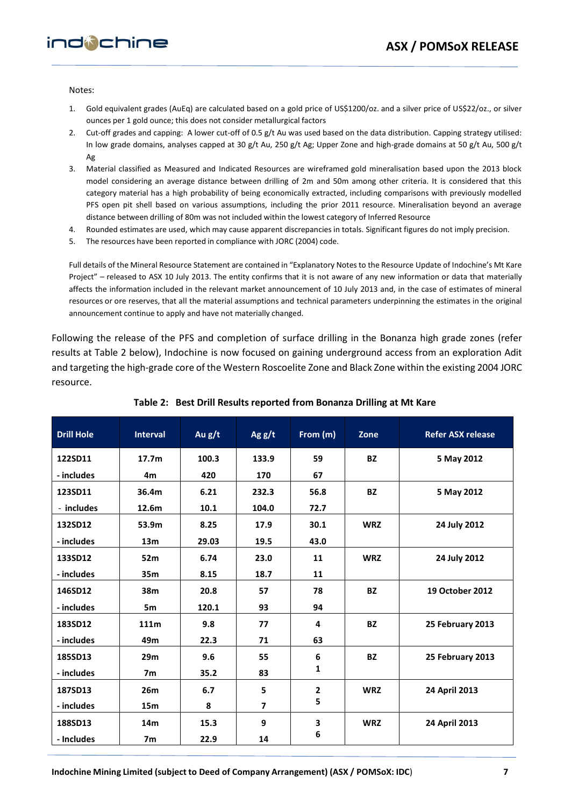Notes:

- 1. Gold equivalent grades (AuEq) are calculated based on a gold price of US\$1200/oz. and a silver price of US\$22/oz., or silver ounces per 1 gold ounce; this does not consider metallurgical factors
- 2. Cut-off grades and capping: A lower cut-off of 0.5 g/t Au was used based on the data distribution. Capping strategy utilised: In low grade domains, analyses capped at 30 g/t Au, 250 g/t Ag; Upper Zone and high-grade domains at 50 g/t Au, 500 g/t Ag
- 3. Material classified as Measured and Indicated Resources are wireframed gold mineralisation based upon the 2013 block model considering an average distance between drilling of 2m and 50m among other criteria. It is considered that this category material has a high probability of being economically extracted, including comparisons with previously modelled PFS open pit shell based on various assumptions, including the prior 2011 resource. Mineralisation beyond an average distance between drilling of 80m was not included within the lowest category of Inferred Resource
- 4. Rounded estimates are used, which may cause apparent discrepancies in totals. Significant figures do not imply precision.
- 5. The resources have been reported in compliance with JORC (2004) code.

Full details of the Mineral Resource Statement are contained in "Explanatory Notes to the Resource Update of Indochine's Mt Kare Project" – released to ASX 10 July 2013. The entity confirms that it is not aware of any new information or data that materially affects the information included in the relevant market announcement of 10 July 2013 and, in the case of estimates of mineral resources or ore reserves, that all the material assumptions and technical parameters underpinning the estimates in the original announcement continue to apply and have not materially changed.

Following the release of the PFS and completion of surface drilling in the Bonanza high grade zones (refer results at Table 2 below), Indochine is now focused on gaining underground access from an exploration Adit and targeting the high-grade core of the Western Roscoelite Zone and Black Zone within the existing 2004 JORC resource.

| <b>Drill Hole</b> | <b>Interval</b>   | Au g/t | Ag $g/t$       | From (m)     | Zone       | <b>Refer ASX release</b> |
|-------------------|-------------------|--------|----------------|--------------|------------|--------------------------|
| 122SD11           | 17.7 <sub>m</sub> | 100.3  | 133.9          | 59           | <b>BZ</b>  | 5 May 2012               |
| - includes        | 4 <sub>m</sub>    | 420    | 170            | 67           |            |                          |
| 123SD11           | 36.4m             | 6.21   | 232.3          | 56.8         | <b>BZ</b>  | 5 May 2012               |
| - includes        | 12.6m             | 10.1   | 104.0          | 72.7         |            |                          |
| 132SD12           | 53.9m             | 8.25   | 17.9           | 30.1         | <b>WRZ</b> | 24 July 2012             |
| - includes        | 13 <sub>m</sub>   | 29.03  | 19.5           | 43.0         |            |                          |
| 133SD12           | 52m               | 6.74   | 23.0           | 11           | <b>WRZ</b> | 24 July 2012             |
| - includes        | 35m               | 8.15   | 18.7           | 11           |            |                          |
| 146SD12           | 38m               | 20.8   | 57             | 78           | <b>BZ</b>  | <b>19 October 2012</b>   |
| - includes        | 5m                | 120.1  | 93             | 94           |            |                          |
| 183SD12           | 111m              | 9.8    | 77             | 4            | <b>BZ</b>  | 25 February 2013         |
| - includes        | 49m               | 22.3   | 71             | 63           |            |                          |
| 185SD13           | 29m               | 9.6    | 55             | 6            | <b>BZ</b>  | 25 February 2013         |
| - includes        | 7 <sub>m</sub>    | 35.2   | 83             | 1            |            |                          |
| 187SD13           | 26m               | 6.7    | 5              | $\mathbf{2}$ | <b>WRZ</b> | 24 April 2013            |
| - includes        | 15 <sub>m</sub>   | 8      | $\overline{ }$ | 5            |            |                          |
| 188SD13           | 14 <sub>m</sub>   | 15.3   | 9              | 3            | <b>WRZ</b> | 24 April 2013            |
| - Includes        | 7 <sub>m</sub>    | 22.9   | 14             | 6            |            |                          |

#### **Table 2: Best Drill Results reported from Bonanza Drilling at Mt Kare**